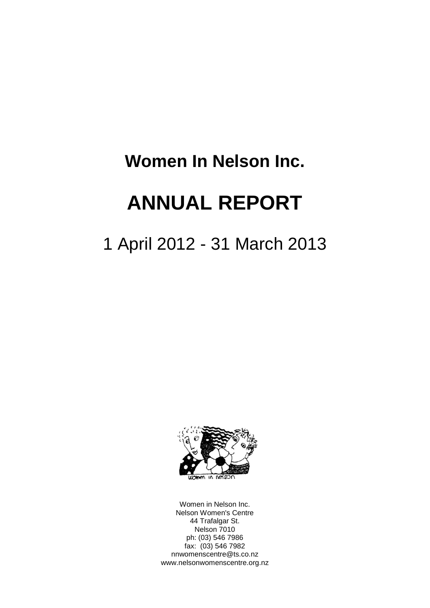# **Women In Nelson Inc.**

# **ANNUAL REPORT**

# 1 April 2012 - 31 March 2013



Women in Nelson Inc. Nelson Women's Centre 44 Trafalgar St. Nelson 7010 ph: (03) 546 7986 fax: (03) 546 7982 nnwomenscentre@ts.co.nz www.nelsonwomenscentre.org.nz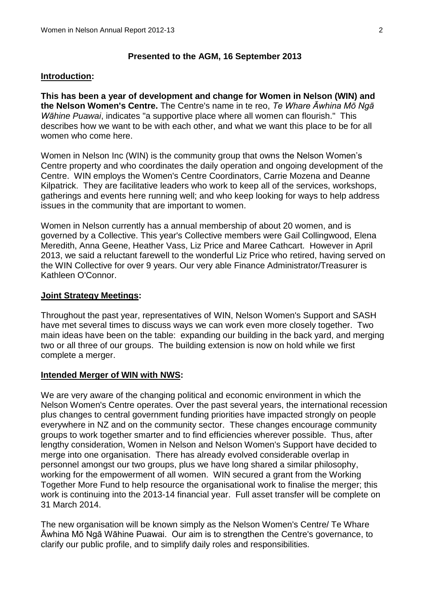#### **Presented to the AGM, 16 September 2013**

#### **Introduction:**

**This has been a year of development and change for Women in Nelson (WIN) and the Nelson Women's Centre.** The Centre's name in te reo, *Te Whare Āwhina Mō Ngā Wāhine Puawai*, indicates "a supportive place where all women can flourish." This describes how we want to be with each other, and what we want this place to be for all women who come here.

Women in Nelson Inc (WIN) is the community group that owns the Nelson Women's Centre property and who coordinates the daily operation and ongoing development of the Centre. WIN employs the Women's Centre Coordinators, Carrie Mozena and Deanne Kilpatrick. They are facilitative leaders who work to keep all of the services, workshops, gatherings and events here running well; and who keep looking for ways to help address issues in the community that are important to women.

Women in Nelson currently has a annual membership of about 20 women, and is governed by a Collective. This year's Collective members were Gail Collingwood, Elena Meredith, Anna Geene, Heather Vass, Liz Price and Maree Cathcart. However in April 2013, we said a reluctant farewell to the wonderful Liz Price who retired, having served on the WIN Collective for over 9 years. Our very able Finance Administrator/Treasurer is Kathleen O'Connor.

#### **Joint Strategy Meetings:**

Throughout the past year, representatives of WIN, Nelson Women's Support and SASH have met several times to discuss ways we can work even more closely together. Two main ideas have been on the table: expanding our building in the back yard, and merging two or all three of our groups. The building extension is now on hold while we first complete a merger.

#### **Intended Merger of WIN with NWS:**

We are very aware of the changing political and economic environment in which the Nelson Women's Centre operates. Over the past several years, the international recession plus changes to central government funding priorities have impacted strongly on people everywhere in NZ and on the community sector. These changes encourage community groups to work together smarter and to find efficiencies wherever possible. Thus, after lengthy consideration, Women in Nelson and Nelson Women's Support have decided to merge into one organisation. There has already evolved considerable overlap in personnel amongst our two groups, plus we have long shared a similar philosophy, working for the empowerment of all women. WIN secured a grant from the Working Together More Fund to help resource the organisational work to finalise the merger; this work is continuing into the 2013-14 financial year. Full asset transfer will be complete on 31 March 2014.

The new organisation will be known simply as the Nelson Women's Centre/ Te Whare Āwhina Mō Ngā Wāhine Puawai. Our aim is to strengthen the Centre's governance, to clarify our public profile, and to simplify daily roles and responsibilities.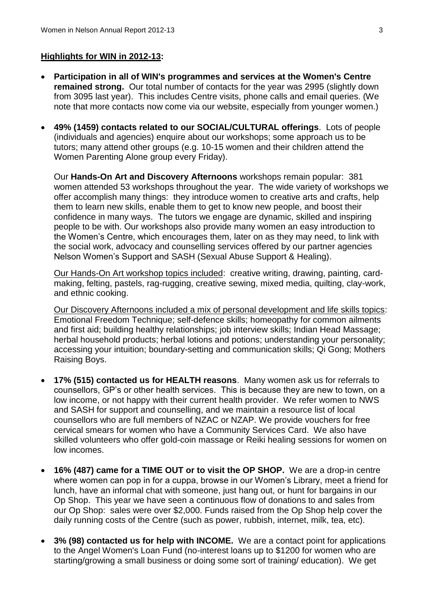### **Highlights for WIN in 2012-13:**

- **Participation in all of WIN's programmes and services at the Women's Centre remained strong.** Our total number of contacts for the year was 2995 (slightly down from 3095 last year). This includes Centre visits, phone calls and email queries. (We note that more contacts now come via our website, especially from younger women.)
- **49% (1459) contacts related to our SOCIAL/CULTURAL offerings**. Lots of people (individuals and agencies) enquire about our workshops; some approach us to be tutors; many attend other groups (e.g. 10-15 women and their children attend the Women Parenting Alone group every Friday).

Our **Hands-On Art and Discovery Afternoons** workshops remain popular: 381 women attended 53 workshops throughout the year. The wide variety of workshops we offer accomplish many things: they introduce women to creative arts and crafts, help them to learn new skills, enable them to get to know new people, and boost their confidence in many ways. The tutors we engage are dynamic, skilled and inspiring people to be with. Our workshops also provide many women an easy introduction to the Women's Centre, which encourages them, later on as they may need, to link with the social work, advocacy and counselling services offered by our partner agencies Nelson Women's Support and SASH (Sexual Abuse Support & Healing).

Our Hands-On Art workshop topics included: creative writing, drawing, painting, cardmaking, felting, pastels, rag-rugging, creative sewing, mixed media, quilting, clay-work, and ethnic cooking.

Our Discovery Afternoons included a mix of personal development and life skills topics: Emotional Freedom Technique; self-defence skills; homeopathy for common ailments and first aid; building healthy relationships; job interview skills; Indian Head Massage; herbal household products; herbal lotions and potions; understanding your personality; accessing your intuition; boundary-setting and communication skills; Qi Gong; Mothers Raising Boys.

- **17% (515) contacted us for HEALTH reasons**. Many women ask us for referrals to counsellors, GP's or other health services. This is because they are new to town, on a low income, or not happy with their current health provider. We refer women to NWS and SASH for support and counselling, and we maintain a resource list of local counsellors who are full members of NZAC or NZAP. We provide vouchers for free cervical smears for women who have a Community Services Card. We also have skilled volunteers who offer gold-coin massage or Reiki healing sessions for women on low incomes.
- **16% (487) came for a TIME OUT or to visit the OP SHOP.** We are a drop-in centre where women can pop in for a cuppa, browse in our Women's Library, meet a friend for lunch, have an informal chat with someone, just hang out, or hunt for bargains in our Op Shop. This year we have seen a continuous flow of donations to and sales from our Op Shop: sales were over \$2,000. Funds raised from the Op Shop help cover the daily running costs of the Centre (such as power, rubbish, internet, milk, tea, etc).
- **3% (98) contacted us for help with INCOME.** We are a contact point for applications to the Angel Women's Loan Fund (no-interest loans up to \$1200 for women who are starting/growing a small business or doing some sort of training/ education). We get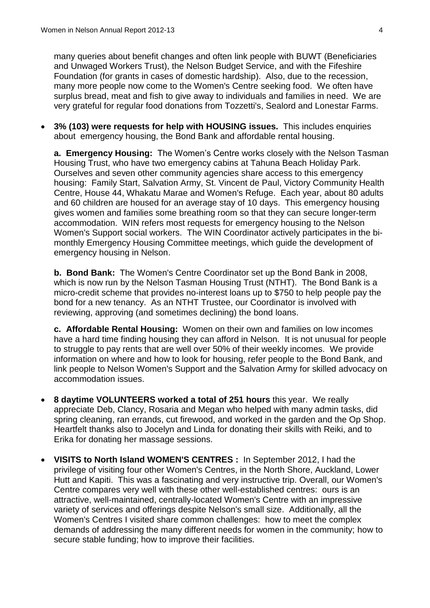many queries about benefit changes and often link people with BUWT (Beneficiaries and Unwaged Workers Trust), the Nelson Budget Service, and with the Fifeshire Foundation (for grants in cases of domestic hardship). Also, due to the recession, many more people now come to the Women's Centre seeking food. We often have surplus bread, meat and fish to give away to individuals and families in need. We are very grateful for regular food donations from Tozzetti's, Sealord and Lonestar Farms.

 **3% (103) were requests for help with HOUSING issues.** This includes enquiries about emergency housing, the Bond Bank and affordable rental housing.

**a. Emergency Housing:** The Women's Centre works closely with the Nelson Tasman Housing Trust, who have two emergency cabins at Tahuna Beach Holiday Park. Ourselves and seven other community agencies share access to this emergency housing: Family Start, Salvation Army, St. Vincent de Paul, Victory Community Health Centre, House 44, Whakatu Marae and Women's Refuge. Each year, about 80 adults and 60 children are housed for an average stay of 10 days. This emergency housing gives women and families some breathing room so that they can secure longer-term accommodation. WIN refers most requests for emergency housing to the Nelson Women's Support social workers. The WIN Coordinator actively participates in the bimonthly Emergency Housing Committee meetings, which guide the development of emergency housing in Nelson.

**b. Bond Bank:** The Women's Centre Coordinator set up the Bond Bank in 2008, which is now run by the Nelson Tasman Housing Trust (NTHT). The Bond Bank is a micro-credit scheme that provides no-interest loans up to \$750 to help people pay the bond for a new tenancy. As an NTHT Trustee, our Coordinator is involved with reviewing, approving (and sometimes declining) the bond loans.

**c. Affordable Rental Housing:** Women on their own and families on low incomes have a hard time finding housing they can afford in Nelson. It is not unusual for people to struggle to pay rents that are well over 50% of their weekly incomes. We provide information on where and how to look for housing, refer people to the Bond Bank, and link people to Nelson Women's Support and the Salvation Army for skilled advocacy on accommodation issues.

- **8 daytime VOLUNTEERS worked a total of 251 hours** this year. We really appreciate Deb, Clancy, Rosaria and Megan who helped with many admin tasks, did spring cleaning, ran errands, cut firewood, and worked in the garden and the Op Shop. Heartfelt thanks also to Jocelyn and Linda for donating their skills with Reiki, and to Erika for donating her massage sessions.
- **VISITS to North Island WOMEN'S CENTRES :** In September 2012, I had the privilege of visiting four other Women's Centres, in the North Shore, Auckland, Lower Hutt and Kapiti. This was a fascinating and very instructive trip. Overall, our Women's Centre compares very well with these other well-established centres: ours is an attractive, well-maintained, centrally-located Women's Centre with an impressive variety of services and offerings despite Nelson's small size. Additionally, all the Women's Centres I visited share common challenges: how to meet the complex demands of addressing the many different needs for women in the community; how to secure stable funding; how to improve their facilities.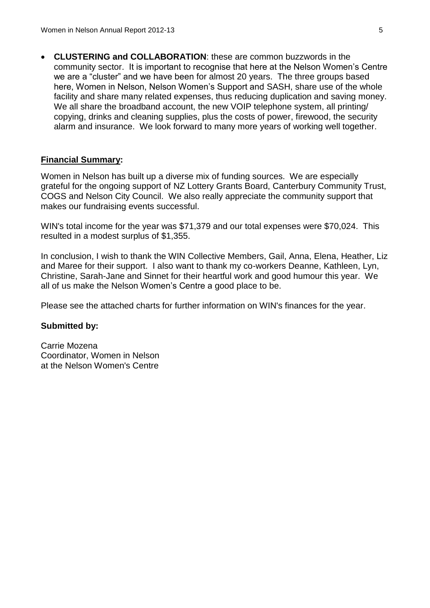**CLUSTERING and COLLABORATION**: these are common buzzwords in the community sector. It is important to recognise that here at the Nelson Women's Centre we are a "cluster" and we have been for almost 20 years. The three groups based here, Women in Nelson, Nelson Women's Support and SASH, share use of the whole facility and share many related expenses, thus reducing duplication and saving money. We all share the broadband account, the new VOIP telephone system, all printing/ copying, drinks and cleaning supplies, plus the costs of power, firewood, the security alarm and insurance. We look forward to many more years of working well together.

### **Financial Summary:**

Women in Nelson has built up a diverse mix of funding sources. We are especially grateful for the ongoing support of NZ Lottery Grants Board, Canterbury Community Trust, COGS and Nelson City Council. We also really appreciate the community support that makes our fundraising events successful.

WIN's total income for the year was \$71,379 and our total expenses were \$70,024. This resulted in a modest surplus of \$1,355.

In conclusion, I wish to thank the WIN Collective Members, Gail, Anna, Elena, Heather, Liz and Maree for their support. I also want to thank my co-workers Deanne, Kathleen, Lyn, Christine, Sarah-Jane and Sinnet for their heartful work and good humour this year. We all of us make the Nelson Women's Centre a good place to be.

Please see the attached charts for further information on WIN's finances for the year.

### **Submitted by:**

Carrie Mozena Coordinator, Women in Nelson at the Nelson Women's Centre